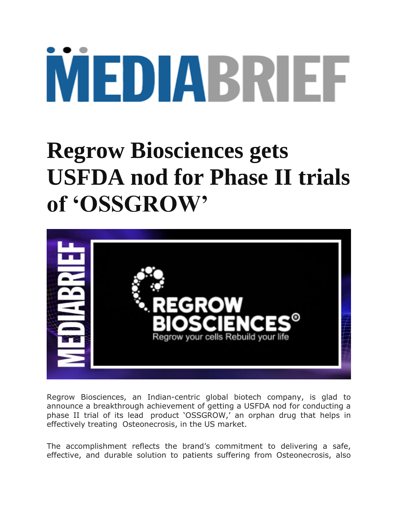## MEDIABRIEF

## **Regrow Biosciences gets USFDA nod for Phase II trials of 'OSSGROW'**



Regrow Biosciences, an Indian-centric global biotech company, is glad to announce a breakthrough achievement of getting a USFDA nod for conducting a phase II trial of its lead product "OSSGROW," an orphan drug that helps in effectively treating Osteonecrosis, in the US market.

The accomplishment reflects the brand's commitment to delivering a safe, effective, and durable solution to patients suffering from Osteonecrosis, also